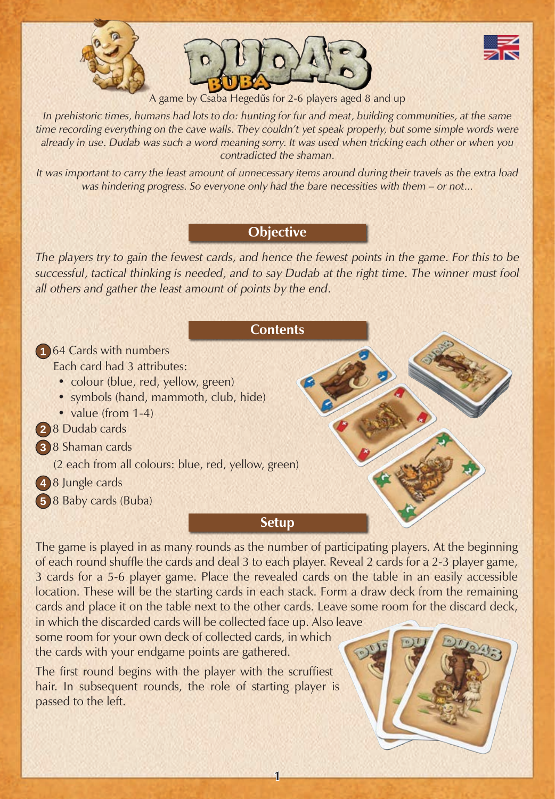





A game by Csaba Hegedűs for 2-6 players aged 8 and up

*In prehistoric times, humans had lots to do: hunting for fur and meat, building communities, at the same time recording everything on the cave walls. They couldn't yet speak properly, but some simple words were already in use. Dudab was such a word meaning sorry. It was used when tricking each other or when you contradicted the shaman.*

*It was important to carry the least amount of unnecessary items around during their travels as the extra load was hindering progress. So everyone only had the bare necessities with them – or not...*

# **Objective**

*The players try to gain the fewest cards, and hence the fewest points in the game. For this to be successful, tactical thinking is needed, and to say Dudab at the right time. The winner must fool all others and gather the least amount of points by the end.*

#### **Contents**

**1** 64 Cards with numbers Each card had 3 attributes:

- colour (blue, red, yellow, green)
- symbols (hand, mammoth, club, hide)
- value (from 1-4)
- **2** 8 Dudab cards
- **3** 8 Shaman cards

(2 each from all colours: blue, red, yellow, green)

**4** 8 Jungle cards

**5** 8 Baby cards (Buba)

## **Setup**

The game is played in as many rounds as the number of participating players. At the beginning of each round shuffle the cards and deal 3 to each player. Reveal 2 cards for a 2-3 player game, 3 cards for a 5-6 player game. Place the revealed cards on the table in an easily accessible location. These will be the starting cards in each stack. Form a draw deck from the remaining cards and place it on the table next to the other cards. Leave some room for the discard deck,

**1**

in which the discarded cards will be collected face up. Also leave some room for your own deck of collected cards, in which the cards with your endgame points are gathered.

The first round begins with the player with the scruffiest hair. In subsequent rounds, the role of starting player is passed to the left.

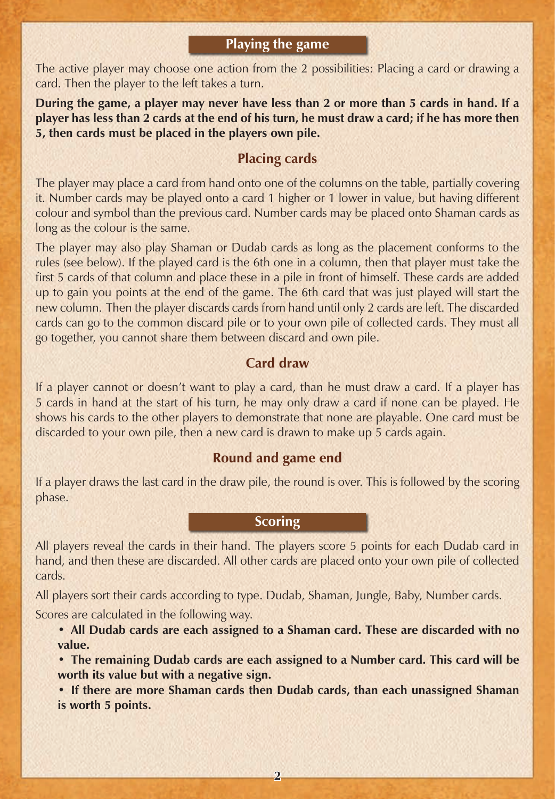## **Playing the game**

The active player may choose one action from the 2 possibilities: Placing a card or drawing a card. Then the player to the left takes a turn.

**During the game, a player may never have less than 2 or more than 5 cards in hand. If a player has less than 2 cards at the end of his turn, he must draw a card; if he has more then 5, then cards must be placed in the players own pile.**

# **Placing cards**

The player may place a card from hand onto one of the columns on the table, partially covering it. Number cards may be played onto a card 1 higher or 1 lower in value, but having different colour and symbol than the previous card. Number cards may be placed onto Shaman cards as long as the colour is the same.

The player may also play Shaman or Dudab cards as long as the placement conforms to the rules (see below). If the played card is the 6th one in a column, then that player must take the first 5 cards of that column and place these in a pile in front of himself. These cards are added up to gain you points at the end of the game. The 6th card that was just played will start the new column. Then the player discards cards from hand until only 2 cards are left. The discarded cards can go to the common discard pile or to your own pile of collected cards. They must all go together, you cannot share them between discard and own pile.

### **Card draw**

If a player cannot or doesn't want to play a card, than he must draw a card. If a player has 5 cards in hand at the start of his turn, he may only draw a card if none can be played. He shows his cards to the other players to demonstrate that none are playable. One card must be discarded to your own pile, then a new card is drawn to make up 5 cards again.

# **Round and game end**

If a player draws the last card in the draw pile, the round is over. This is followed by the scoring phase.

## **Scoring**

All players reveal the cards in their hand. The players score 5 points for each Dudab card in hand, and then these are discarded. All other cards are placed onto your own pile of collected cards.

All players sort their cards according to type. Dudab, Shaman, Jungle, Baby, Number cards.

Scores are calculated in the following way.

**• All Dudab cards are each assigned to a Shaman card. These are discarded with no value.**

**• The remaining Dudab cards are each assigned to a Number card. This card will be worth its value but with a negative sign.**

**• If there are more Shaman cards then Dudab cards, than each unassigned Shaman is worth 5 points.**

**2**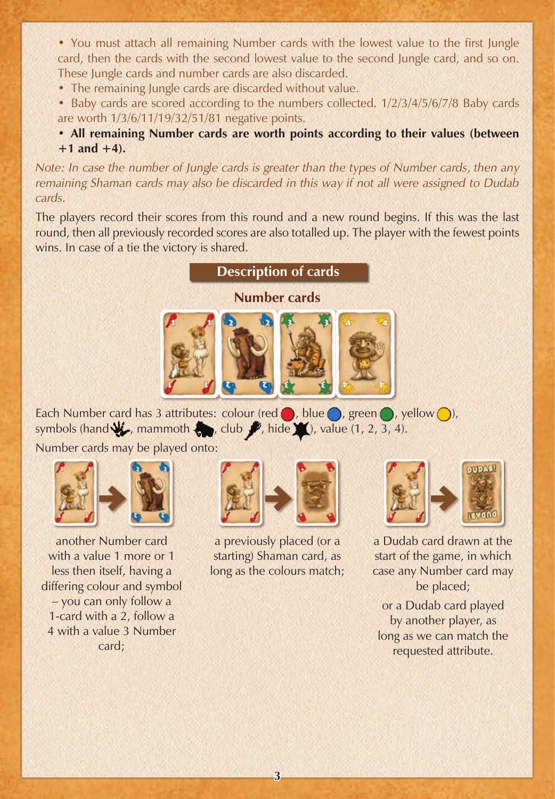• You must attach all remaining Number cards with the lowest value to the first Jungle card, then the cards with the second lowest value to the second Jungle card, and so on. These Jungle cards and number cards are also discarded.

- The remaining Jungle cards are discarded without value.
- Baby cards are scored according to the numbers collected. 1/2/3/4/5/6/7/8 Baby cards are worth 1/3/6/11/19/32/51/81 negative points.

**• All remaining Number cards are worth points according to their values (between +1 and +4).**

*Note: In case the number of Jungle cards is greater than the types of Number cards, then any remaining Shaman cards may also be discarded in this way if not all were assigned to Dudab cards.*

The players record their scores from this round and a new round begins. If this was the last round, then all previously recorded scores are also totalled up. The player with the fewest points wins. In case of a tie the victory is shared.





Each Number card has 3 attributes: colour (red  $\bigcirc$ , blue  $\bigcirc$ , green  $\bigcirc$ , yellow  $\bigcirc$ ), symbols (hand  $\psi$ , mammoth , club  $\psi$ , hide  $\psi$ ), value (1, 2, 3, 4).

Number cards may be played onto:



another Number card with a value 1 more or 1 less then itself, having a differing colour and symbol – you can only follow a 1-card with a 2, follow a 4 with a value 3 Number card;



a previously placed (or a starting) Shaman card, as long as the colours match;

|--|

a Dudab card drawn at the start of the game, in which case any Number card may be placed;

or a Dudab card played by another player, as long as we can match the requested attribute.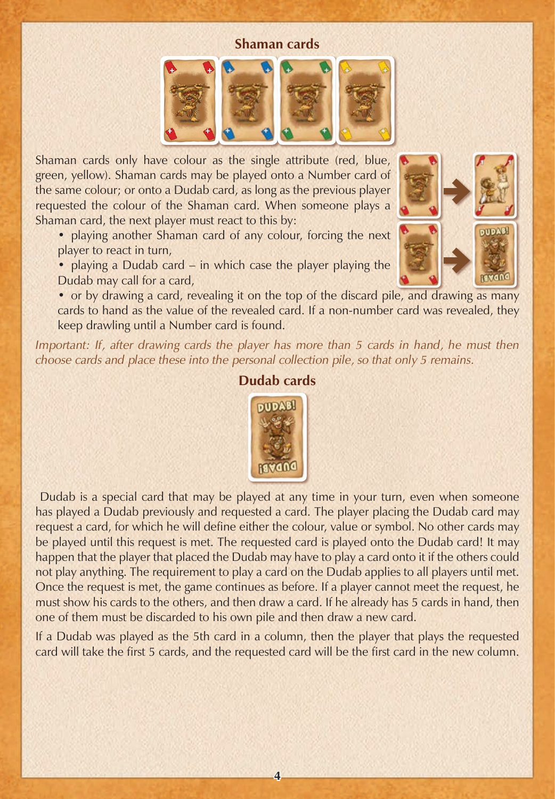#### **Shaman cards**



Shaman cards only have colour as the single attribute (red, blue, green, yellow). Shaman cards may be played onto a Number card of the same colour; or onto a Dudab card, as long as the previous player requested the colour of the Shaman card. When someone plays a Shaman card, the next player must react to this by:

• playing another Shaman card of any colour, forcing the next player to react in turn,

• playing a Dudab card – in which case the player playing the Dudab may call for a card,

• or by drawing a card, revealing it on the top of the discard pile, and drawing as many cards to hand as the value of the revealed card. If a non-number card was revealed, they keep drawling until a Number card is found.

*Important: If, after drawing cards the player has more than 5 cards in hand, he must then choose cards and place these into the personal collection pile, so that only 5 remains.* 





#### **Dudab cards**

 Dudab is a special card that may be played at any time in your turn, even when someone has played a Dudab previously and requested a card. The player placing the Dudab card may request a card, for which he will define either the colour, value or symbol. No other cards may be played until this request is met. The requested card is played onto the Dudab card! It may happen that the player that placed the Dudab may have to play a card onto it if the others could not play anything. The requirement to play a card on the Dudab applies to all players until met. Once the request is met, the game continues as before. If a player cannot meet the request, he must show his cards to the others, and then draw a card. If he already has 5 cards in hand, then one of them must be discarded to his own pile and then draw a new card.

If a Dudab was played as the 5th card in a column, then the player that plays the requested card will take the first 5 cards, and the requested card will be the first card in the new column.

**4**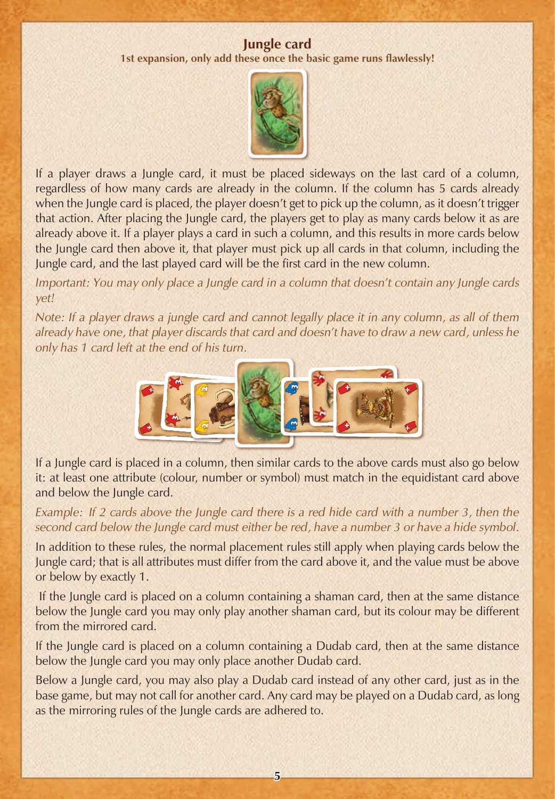#### **Jungle card**

**1st expansion, only add these once the basic game runs flawlessly!**



If a player draws a Jungle card, it must be placed sideways on the last card of a column, regardless of how many cards are already in the column. If the column has 5 cards already when the Jungle card is placed, the player doesn't get to pick up the column, as it doesn't trigger that action. After placing the Jungle card, the players get to play as many cards below it as are already above it. If a player plays a card in such a column, and this results in more cards below the Jungle card then above it, that player must pick up all cards in that column, including the Jungle card, and the last played card will be the first card in the new column.

*Important: You may only place a Jungle card in a column that doesn't contain any Jungle cards yet!*

*Note: If a player draws a jungle card and cannot legally place it in any column, as all of them already have one, that player discards that card and doesn't have to draw a new card, unless he only has 1 card left at the end of his turn.*



If a Jungle card is placed in a column, then similar cards to the above cards must also go below it: at least one attribute (colour, number or symbol) must match in the equidistant card above and below the Jungle card.

*Example: If 2 cards above the Jungle card there is a red hide card with a number 3, then the second card below the Jungle card must either be red, have a number 3 or have a hide symbol.*

In addition to these rules, the normal placement rules still apply when playing cards below the Jungle card; that is all attributes must differ from the card above it, and the value must be above or below by exactly 1.

 If the Jungle card is placed on a column containing a shaman card, then at the same distance below the Jungle card you may only play another shaman card, but its colour may be different from the mirrored card.

If the Jungle card is placed on a column containing a Dudab card, then at the same distance below the Jungle card you may only place another Dudab card.

Below a Jungle card, you may also play a Dudab card instead of any other card, just as in the base game, but may not call for another card. Any card may be played on a Dudab card, as long as the mirroring rules of the Jungle cards are adhered to.

**5**